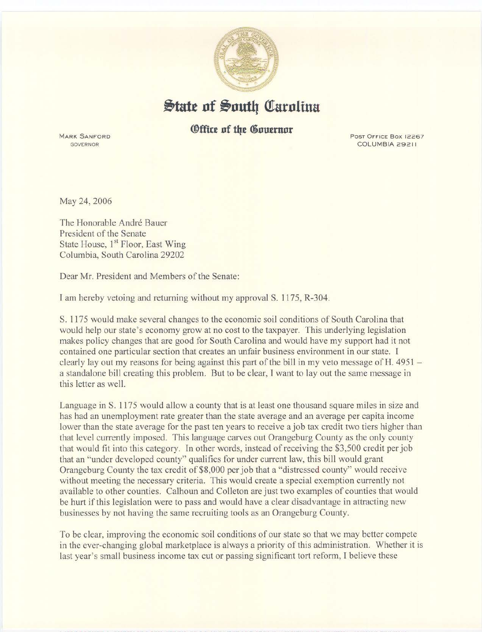

## State of South Carolina

## *<u>®ffice of the Governor</u>*

MARK SANFORD **GOVERNOR** 

Post Office Box 12267 COLUMBIA 29211

May 24,2006

The Honorable André Bauer President of the Senate State House, 1<sup>st</sup> Floor, East Wing Columbia, South Carolina 29202

Dear Mr. President and Members of the Senate:

I am hereby vetoing and returning without my approval S. 1175, R-304.

S. 1175 would make several changes to the economic soil conditions of South Carolina that would help our state's economy grow at no cost to the taxpayer. This underlying legislation makes policy changes that are good for South Carolina and would have my support had it not contained one particular section that creates an unfair business environment in our state. I clearly lay out my reasons for being against this part of the bill in my veto message of H. 4951 a standalone bill creating this problem. But to be clear, I want to lay out the same message in this letter as well.

Language in S. 1175 would allow a county that is at least one thousand square miles in size and has had an unemployment rate greater than the state average and an average per capita income lower than the state average for the past ten years to receive a job tax credit two tiers higher than that level currently imposed. This language carves out Orangeburg County as the only county that would fit into this category. In other words, instead of receiving the \$3,500 credit per job that an "under developed county" qualifies for under current law, this bill would grant Orangeburg County the tax credit of \$8,000 per job that a "distressed county" would receive without meeting the necessary criteria. This would create a special exemption currently not available to other counties. Calhoun and Colleton are just two examples of counties that would be hurt if this legislation were to pass and would have a clear disadvantage in attracting new businesses by not having the same recruiting tools as an Orangeburg County.

To be clear, improving the economic soil conditions of our state so that we may better compete in the ever-changing global marketplace is always a priority of this administration. Whether it is last year's small business income tax cut or passing significant tort reform, I believe these